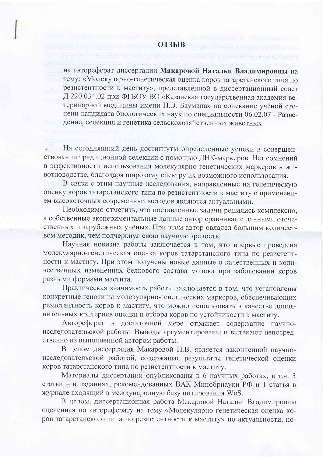на автореферат диссертации Макаровой Натальи Владимировны на тему: «Молекулярно-генетическая оценка коров татарстанского типа по резистентности к маститу», представленной в диссертационный совет Д 220.034.02 при ФГБОУ ВО «Казанская государственная академия ветеринарной медицины имени Н.Э. Баумана» на соискание учёной степени кандидата биологических наук по специальности 06.02.07 - Разведение, селекция и генетика сельскохозяйственных животных

s kroots were or w

NIVOT BASTRONOGICA

На сегодняшний день достигнуты определенные успехи в совершенствовании традиционной селекции с помощью ДНК-маркеров. Нет сомнений в эффективности использования молекулярно-генетических маркеров в животноводстве, благодаря широкому спектру их возможного использования.

В связи с этим научные исследования, направленные на генетическую оценку коров татарстанского типа по резистентности к маститу с применением высокоточных современных методов являются актуальными.

Необходимо отметить, что поставленные задачи решались комплексно, а собственные экспериментальные данные автор сравнивал с данными отечественных и зарубежных учёных. При этом автор овладел большим количеством методик, чем подчеркнул свою научную зрелость.

Научная новизна работы заключается в том, что впервые проведена молекулярно-генетическая оценка коров татарстанского типа по резистентности к маститу. При этом получены новые данные о качественных и количественных изменениях белкового состава молока при заболевании коров разными формами мастита.

Практическая значимость работы заключается в том, что установлены конкретные генотипы молекулярно-генетических маркеров, обеспечивающих резистентность коров к маститу, что можно использовать в качестве дополнительных критериев оценки и отбора коров по устойчивости к маститу.

Автореферат в достаточной мере отражает содержание научноисследовательской работы. Выводы аргументированы и вытекают непосредственно из выполненной автором работы.

В целом диссертация Макаровой Н.В. является законченной научноисследовательской работой, содержащая результаты генетической оценки коров татарстанского типа по резистентности к маститу.

Материалы диссертации опубликованы в 6 научных работах, в т.ч. 3 статьи - в изданиях, рекомендованных ВАК Минобрнауки РФ и 1 статья в журнале входящий в международную базу цитирования WoS.

В целом, диссертационная работа Макаровой Натальи Владимировны оцененная по автореферату на тему «Молекулярно-генетическая оценка коров татарстанского типа по резистентности к маститу» по актуальности, но-